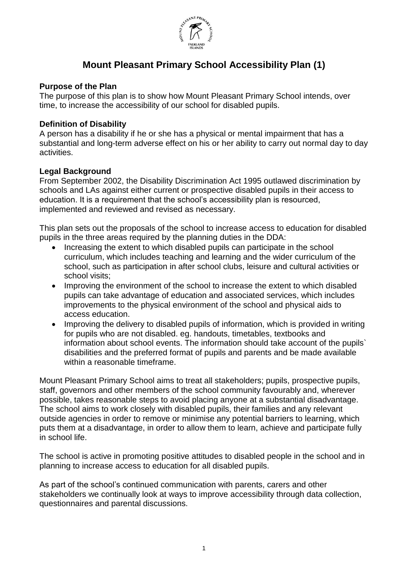

# **Mount Pleasant Primary School Accessibility Plan (1)**

### **Purpose of the Plan**

The purpose of this plan is to show how Mount Pleasant Primary School intends, over time, to increase the accessibility of our school for disabled pupils.

#### **Definition of Disability**

A person has a disability if he or she has a physical or mental impairment that has a substantial and long-term adverse effect on his or her ability to carry out normal day to day activities.

#### **Legal Background**

From September 2002, the Disability Discrimination Act 1995 outlawed discrimination by schools and LAs against either current or prospective disabled pupils in their access to education. It is a requirement that the school's accessibility plan is resourced, implemented and reviewed and revised as necessary.

This plan sets out the proposals of the school to increase access to education for disabled pupils in the three areas required by the planning duties in the DDA:

- Increasing the extent to which disabled pupils can participate in the school curriculum, which includes teaching and learning and the wider curriculum of the school, such as participation in after school clubs, leisure and cultural activities or school visits;
- Improving the environment of the school to increase the extent to which disabled pupils can take advantage of education and associated services, which includes improvements to the physical environment of the school and physical aids to access education.
- Improving the delivery to disabled pupils of information, which is provided in writing for pupils who are not disabled. eg. handouts, timetables, textbooks and information about school events. The information should take account of the pupils` disabilities and the preferred format of pupils and parents and be made available within a reasonable timeframe.

Mount Pleasant Primary School aims to treat all stakeholders; pupils, prospective pupils, staff, governors and other members of the school community favourably and, wherever possible, takes reasonable steps to avoid placing anyone at a substantial disadvantage. The school aims to work closely with disabled pupils, their families and any relevant outside agencies in order to remove or minimise any potential barriers to learning, which puts them at a disadvantage, in order to allow them to learn, achieve and participate fully in school life.

The school is active in promoting positive attitudes to disabled people in the school and in planning to increase access to education for all disabled pupils.

As part of the school's continued communication with parents, carers and other stakeholders we continually look at ways to improve accessibility through data collection, questionnaires and parental discussions.